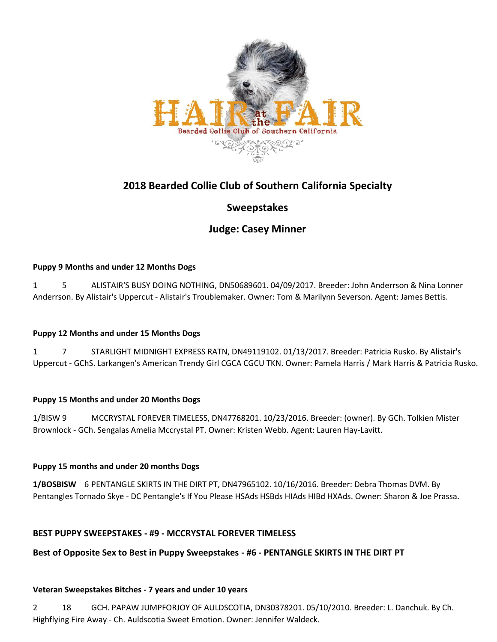

# **2018 Bearded Collie Club of Southern California Specialty**

# **Sweepstakes**

# **Judge: Casey Minner**

### **Puppy 9 Months and under 12 Months Dogs**

1 5 ALISTAIR'S BUSY DOING NOTHING, DN50689601. 04/09/2017. Breeder: John Anderrson & Nina Lonner Anderrson. By Alistair's Uppercut - Alistair's Troublemaker. Owner: Tom & Marilynn Severson. Agent: James Bettis.

#### **Puppy 12 Months and under 15 Months Dogs**

1 7 STARLIGHT MIDNIGHT EXPRESS RATN, DN49119102. 01/13/2017. Breeder: Patricia Rusko. By Alistair's Uppercut - GChS. Larkangen's American Trendy Girl CGCA CGCU TKN. Owner: Pamela Harris / Mark Harris & Patricia Rusko.

#### **Puppy 15 Months and under 20 Months Dogs**

1/BISW 9 MCCRYSTAL FOREVER TIMELESS, DN47768201. 10/23/2016. Breeder: (owner). By GCh. Tolkien Mister Brownlock - GCh. Sengalas Amelia Mccrystal PT. Owner: Kristen Webb. Agent: Lauren Hay-Lavitt.

#### **Puppy 15 months and under 20 months Dogs**

**1/BOSBISW** 6 PENTANGLE SKIRTS IN THE DIRT PT, DN47965102. 10/16/2016. Breeder: Debra Thomas DVM. By Pentangles Tornado Skye - DC Pentangle's If You Please HSAds HSBds HIAds HIBd HXAds. Owner: Sharon & Joe Prassa.

### **BEST PUPPY SWEEPSTAKES - #9 - MCCRYSTAL FOREVER TIMELESS**

**Best of Opposite Sex to Best in Puppy Sweepstakes - #6 - PENTANGLE SKIRTS IN THE DIRT PT**

#### **Veteran Sweepstakes Bitches - 7 years and under 10 years**

2 18 GCH. PAPAW JUMPFORJOY OF AULDSCOTIA, DN30378201. 05/10/2010. Breeder: L. Danchuk. By Ch. Highflying Fire Away - Ch. Auldscotia Sweet Emotion. Owner: Jennifer Waldeck.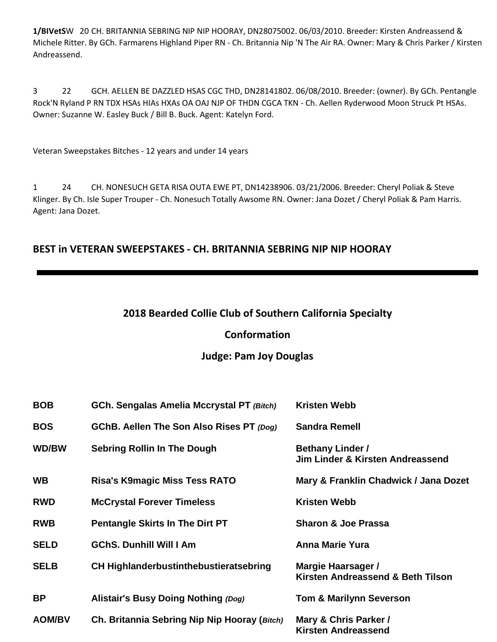**1/BIVetS**W 20 CH. BRITANNIA SEBRING NIP NIP HOORAY, DN28075002. 06/03/2010. Breeder: Kirsten Andreassend & Michele Ritter. By GCh. Farmarens Highland Piper RN - Ch. Britannia Nip 'N The Air RA. Owner: Mary & Chris Parker / Kirsten Andreassend.

3 22 GCH. AELLEN BE DAZZLED HSAS CGC THD, DN28141802. 06/08/2010. Breeder: (owner). By GCh. Pentangle Rock'N Ryland P RN TDX HSAs HIAs HXAs OA OAJ NJP OF THDN CGCA TKN - Ch. Aellen Ryderwood Moon Struck Pt HSAs. Owner: Suzanne W. Easley Buck / Bill B. Buck. Agent: Katelyn Ford.

Veteran Sweepstakes Bitches - 12 years and under 14 years

1 24 CH. NONESUCH GETA RISA OUTA EWE PT, DN14238906. 03/21/2006. Breeder: Cheryl Poliak & Steve Klinger. By Ch. Isle Super Trouper - Ch. Nonesuch Totally Awsome RN. Owner: Jana Dozet / Cheryl Poliak & Pam Harris. Agent: Jana Dozet.

# **BEST in VETERAN SWEEPSTAKES - CH. BRITANNIA SEBRING NIP NIP HOORAY**

# **2018 Bearded Collie Club of Southern California Specialty**

# **Conformation**

# **Judge: Pam Joy Douglas**

| <b>BOB</b>    | <b>GCh. Sengalas Amelia Mccrystal PT (Bitch)</b> | <b>Kristen Webb</b>                                         |
|---------------|--------------------------------------------------|-------------------------------------------------------------|
| <b>BOS</b>    | GChB. Aellen The Son Also Rises PT (Dog)         | <b>Sandra Remell</b>                                        |
| WD/BW         | <b>Sebring Rollin In The Dough</b>               | <b>Bethany Linder /</b><br>Jim Linder & Kirsten Andreassend |
| <b>WB</b>     | <b>Risa's K9magic Miss Tess RATO</b>             | Mary & Franklin Chadwick / Jana Dozet                       |
| <b>RWD</b>    | <b>McCrystal Forever Timeless</b>                | <b>Kristen Webb</b>                                         |
| <b>RWB</b>    | <b>Pentangle Skirts In The Dirt PT</b>           | <b>Sharon &amp; Joe Prassa</b>                              |
| <b>SELD</b>   | <b>GChS. Dunhill Will I Am</b>                   | <b>Anna Marie Yura</b>                                      |
| <b>SELB</b>   | <b>CH Highlanderbustinthebustieratsebring</b>    | Margie Haarsager /<br>Kirsten Andreassend & Beth Tilson     |
| <b>BP</b>     | Alistair's Busy Doing Nothing (Dog)              | <b>Tom &amp; Marilynn Severson</b>                          |
| <b>AOM/BV</b> | Ch. Britannia Sebring Nip Nip Hooray (Bitch)     | Mary & Chris Parker /<br><b>Kirsten Andreassend</b>         |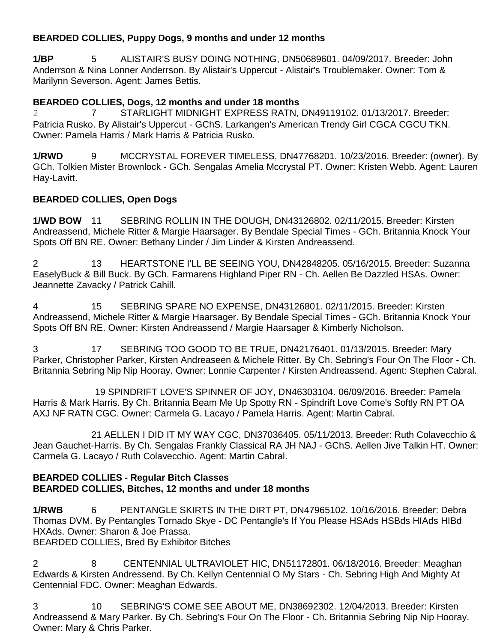# **BEARDED COLLIES, Puppy Dogs, 9 months and under 12 months**

**1/BP** 5 ALISTAIR'S BUSY DOING NOTHING, DN50689601. 04/09/2017. Breeder: John Anderrson & Nina Lonner Anderrson. By Alistair's Uppercut - Alistair's Troublemaker. Owner: Tom & Marilynn Severson. Agent: James Bettis.

# **BEARDED COLLIES, Dogs, 12 months and under 18 months**

2 7 STARLIGHT MIDNIGHT EXPRESS RATN, DN49119102. 01/13/2017. Breeder: Patricia Rusko. By Alistair's Uppercut - GChS. Larkangen's American Trendy Girl CGCA CGCU TKN. Owner: Pamela Harris / Mark Harris & Patricia Rusko.

**1/RWD** 9 MCCRYSTAL FOREVER TIMELESS, DN47768201. 10/23/2016. Breeder: (owner). By GCh. Tolkien Mister Brownlock - GCh. Sengalas Amelia Mccrystal PT. Owner: Kristen Webb. Agent: Lauren Hay-Lavitt.

# **BEARDED COLLIES, Open Dogs**

**1/WD BOW** 11 SEBRING ROLLIN IN THE DOUGH, DN43126802. 02/11/2015. Breeder: Kirsten Andreassend, Michele Ritter & Margie Haarsager. By Bendale Special Times - GCh. Britannia Knock Your Spots Off BN RE. Owner: Bethany Linder / Jim Linder & Kirsten Andreassend.

2 13 HEARTSTONE I'LL BE SEEING YOU, DN42848205. 05/16/2015. Breeder: Suzanna EaselyBuck & Bill Buck. By GCh. Farmarens Highland Piper RN - Ch. Aellen Be Dazzled HSAs. Owner: Jeannette Zavacky / Patrick Cahill.

4 15 SEBRING SPARE NO EXPENSE, DN43126801. 02/11/2015. Breeder: Kirsten Andreassend, Michele Ritter & Margie Haarsager. By Bendale Special Times - GCh. Britannia Knock Your Spots Off BN RE. Owner: Kirsten Andreassend / Margie Haarsager & Kimberly Nicholson.

3 17 SEBRING TOO GOOD TO BE TRUE, DN42176401. 01/13/2015. Breeder: Mary Parker, Christopher Parker, Kirsten Andreaseen & Michele Ritter. By Ch. Sebring's Four On The Floor - Ch. Britannia Sebring Nip Nip Hooray. Owner: Lonnie Carpenter / Kirsten Andreassend. Agent: Stephen Cabral.

19 SPINDRIFT LOVE'S SPINNER OF JOY, DN46303104. 06/09/2016. Breeder: Pamela Harris & Mark Harris. By Ch. Britannia Beam Me Up Spotty RN - Spindrift Love Come's Softly RN PT OA AXJ NF RATN CGC. Owner: Carmela G. Lacayo / Pamela Harris. Agent: Martin Cabral.

21 AELLEN I DID IT MY WAY CGC, DN37036405. 05/11/2013. Breeder: Ruth Colavecchio & Jean Gauchet-Harris. By Ch. Sengalas Frankly Classical RA JH NAJ - GChS. Aellen Jive Talkin HT. Owner: Carmela G. Lacayo / Ruth Colavecchio. Agent: Martin Cabral.

## **BEARDED COLLIES - Regular Bitch Classes BEARDED COLLIES, Bitches, 12 months and under 18 months**

**1/RWB** 6 PENTANGLE SKIRTS IN THE DIRT PT, DN47965102. 10/16/2016. Breeder: Debra Thomas DVM. By Pentangles Tornado Skye - DC Pentangle's If You Please HSAds HSBds HIAds HIBd HXAds. Owner: Sharon & Joe Prassa. BEARDED COLLIES, Bred By Exhibitor Bitches

2 8 CENTENNIAL ULTRAVIOLET HIC, DN51172801. 06/18/2016. Breeder: Meaghan Edwards & Kirsten Andressend. By Ch. Kellyn Centennial O My Stars - Ch. Sebring High And Mighty At Centennial FDC. Owner: Meaghan Edwards.

3 10 SEBRING'S COME SEE ABOUT ME, DN38692302. 12/04/2013. Breeder: Kirsten Andreassend & Mary Parker. By Ch. Sebring's Four On The Floor - Ch. Britannia Sebring Nip Nip Hooray. Owner: Mary & Chris Parker.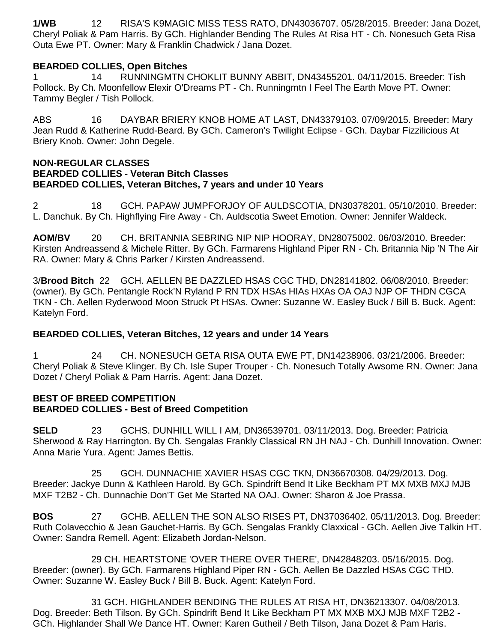**1/WB** 12 RISA'S K9MAGIC MISS TESS RATO, DN43036707. 05/28/2015. Breeder: Jana Dozet, Cheryl Poliak & Pam Harris. By GCh. Highlander Bending The Rules At Risa HT - Ch. Nonesuch Geta Risa Outa Ewe PT. Owner: Mary & Franklin Chadwick / Jana Dozet.

## **BEARDED COLLIES, Open Bitches**

1 14 RUNNINGMTN CHOKLIT BUNNY ABBIT, DN43455201. 04/11/2015. Breeder: Tish Pollock. By Ch. Moonfellow Elexir O'Dreams PT - Ch. Runningmtn I Feel The Earth Move PT. Owner: Tammy Begler / Tish Pollock.

ABS 16 DAYBAR BRIERY KNOB HOME AT LAST, DN43379103. 07/09/2015. Breeder: Mary Jean Rudd & Katherine Rudd-Beard. By GCh. Cameron's Twilight Eclipse - GCh. Daybar Fizzilicious At Briery Knob. Owner: John Degele.

#### **NON-REGULAR CLASSES BEARDED COLLIES - Veteran Bitch Classes BEARDED COLLIES, Veteran Bitches, 7 years and under 10 Years**

2 18 GCH. PAPAW JUMPFORJOY OF AULDSCOTIA, DN30378201. 05/10/2010. Breeder: L. Danchuk. By Ch. Highflying Fire Away - Ch. Auldscotia Sweet Emotion. Owner: Jennifer Waldeck.

**AOM/BV** 20 CH. BRITANNIA SEBRING NIP NIP HOORAY, DN28075002. 06/03/2010. Breeder: Kirsten Andreassend & Michele Ritter. By GCh. Farmarens Highland Piper RN - Ch. Britannia Nip 'N The Air RA. Owner: Mary & Chris Parker / Kirsten Andreassend.

3/**Brood Bitch** 22 GCH. AELLEN BE DAZZLED HSAS CGC THD, DN28141802. 06/08/2010. Breeder: (owner). By GCh. Pentangle Rock'N Ryland P RN TDX HSAs HIAs HXAs OA OAJ NJP OF THDN CGCA TKN - Ch. Aellen Ryderwood Moon Struck Pt HSAs. Owner: Suzanne W. Easley Buck / Bill B. Buck. Agent: Katelyn Ford.

### **BEARDED COLLIES, Veteran Bitches, 12 years and under 14 Years**

1 24 CH. NONESUCH GETA RISA OUTA EWE PT, DN14238906. 03/21/2006. Breeder: Cheryl Poliak & Steve Klinger. By Ch. Isle Super Trouper - Ch. Nonesuch Totally Awsome RN. Owner: Jana Dozet / Cheryl Poliak & Pam Harris. Agent: Jana Dozet.

#### **BEST OF BREED COMPETITION BEARDED COLLIES - Best of Breed Competition**

**SELD** 23 GCHS. DUNHILL WILL I AM, DN36539701. 03/11/2013. Dog. Breeder: Patricia Sherwood & Ray Harrington. By Ch. Sengalas Frankly Classical RN JH NAJ - Ch. Dunhill Innovation. Owner: Anna Marie Yura. Agent: James Bettis.

25 GCH. DUNNACHIE XAVIER HSAS CGC TKN, DN36670308. 04/29/2013. Dog. Breeder: Jackye Dunn & Kathleen Harold. By GCh. Spindrift Bend It Like Beckham PT MX MXB MXJ MJB MXF T2B2 - Ch. Dunnachie Don'T Get Me Started NA OAJ. Owner: Sharon & Joe Prassa.

**BOS** 27 GCHB. AELLEN THE SON ALSO RISES PT, DN37036402. 05/11/2013. Dog. Breeder: Ruth Colavecchio & Jean Gauchet-Harris. By GCh. Sengalas Frankly Claxxical - GCh. Aellen Jive Talkin HT. Owner: Sandra Remell. Agent: Elizabeth Jordan-Nelson.

29 CH. HEARTSTONE 'OVER THERE OVER THERE', DN42848203. 05/16/2015. Dog. Breeder: (owner). By GCh. Farmarens Highland Piper RN - GCh. Aellen Be Dazzled HSAs CGC THD. Owner: Suzanne W. Easley Buck / Bill B. Buck. Agent: Katelyn Ford.

31 GCH. HIGHLANDER BENDING THE RULES AT RISA HT, DN36213307. 04/08/2013. Dog. Breeder: Beth Tilson. By GCh. Spindrift Bend It Like Beckham PT MX MXB MXJ MJB MXF T2B2 - GCh. Highlander Shall We Dance HT. Owner: Karen Gutheil / Beth Tilson, Jana Dozet & Pam Haris.